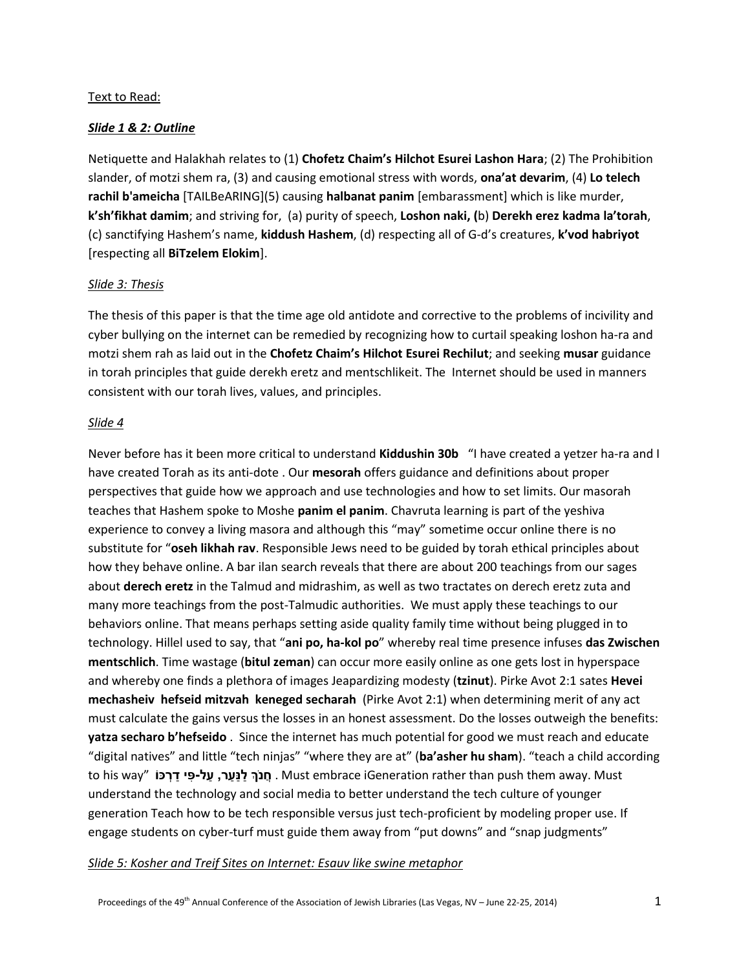### Text to Read:

### *Slide 1 & 2: Outline*

Netiquette and Halakhah relates to (1) **Chofetz Chaim's Hilchot Esurei Lashon Hara**; (2) The Prohibition slander, of motzi shem ra, (3) and causing emotional stress with words, **ona'at devarim**, (4) **Lo telech rachil b'ameicha** [TAILBeARING](5) causing **halbanat panim** [embarassment] which is like murder, **k'sh'fikhat damim**; and striving for, (a) purity of speech, **Loshon naki, (**b) **Derekh erez kadma la'torah**, (c) sanctifying Hashem's name, **kiddush Hashem**, (d) respecting all of G-d's creatures, **k'vod habriyot** [respecting all **BiTzelem Elokim**].

### *Slide 3: Thesis*

The thesis of this paper is that the time age old antidote and corrective to the problems of incivility and cyber bullying on the internet can be remedied by recognizing how to curtail speaking loshon ha-ra and motzi shem rah as laid out in the **Chofetz Chaim's Hilchot Esurei Rechilut**; and seeking **musar** guidance in torah principles that guide derekh eretz and mentschlikeit. The Internet should be used in manners consistent with our torah lives, values, and principles.

### *Slide 4*

Never before has it been more critical to understand **Kiddushin 30b** "I have created a yetzer ha-ra and I have created Torah as its anti-dote . Our **mesorah** offers guidance and definitions about proper perspectives that guide how we approach and use technologies and how to set limits. Our masorah teaches that Hashem spoke to Moshe **panim el panim**. Chavruta learning is part of the yeshiva experience to convey a living masora and although this "may" sometime occur online there is no substitute for "**oseh likhah rav**. Responsible Jews need to be guided by torah ethical principles about how they behave online. A bar ilan search reveals that there are about 200 teachings from our sages about **derech eretz** in the Talmud and midrashim, as well as two tractates on derech eretz zuta and many more teachings from the post-Talmudic authorities. We must apply these teachings to our behaviors online. That means perhaps setting aside quality family time without being plugged in to technology. Hillel used to say, that "**ani po, ha-kol po**" whereby real time presence infuses **das Zwischen mentschlich**. Time wastage (**bitul zeman**) can occur more easily online as one gets lost in hyperspace and whereby one finds a plethora of images Jeapardizing modesty (**tzinut**). Pirke Avot 2:1 sates **Hevei mechasheiv hefseid mitzvah keneged secharah** (Pirke Avot 2:1) when determining merit of any act must calculate the gains versus the losses in an honest assessment. Do the losses outweigh the benefits: **yatza secharo b'hefseido** . Since the internet has much potential for good we must reach and educate "digital natives" and little "tech ninjas" "where they are at" (**ba'asher hu sham**). "teach a child according Must .away them push than rather iGeneration embrace Must . **חֲ נ ְֹך ַל ַנ ַער, ַעל- ִּפי ַד ְרּכֹו** "way his to understand the technology and social media to better understand the tech culture of younger generation Teach how to be tech responsible versus just tech-proficient by modeling proper use. If engage students on cyber-turf must guide them away from "put downs" and "snap judgments"

#### *Slide 5: Kosher and Treif Sites on Internet: Esauv like swine metaphor*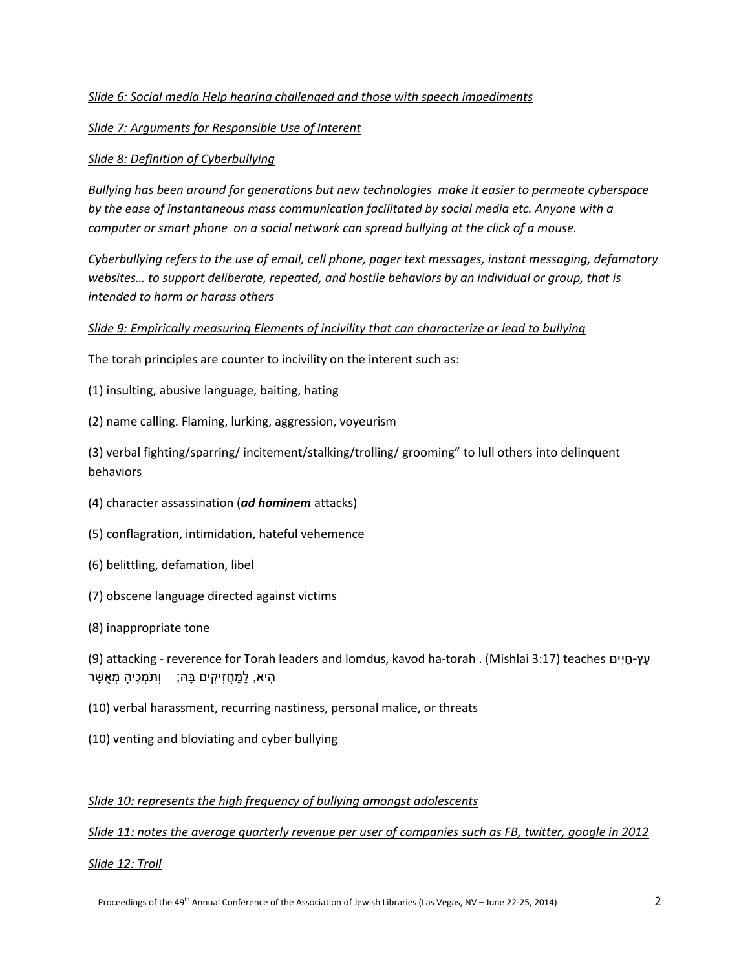### *Slide 6: Social media Help hearing challenged and those with speech impediments*

### *Slide 7: Arguments for Responsible Use of Interent*

### *Slide 8: Definition of Cyberbullying*

*Bullying has been around for generations but new technologies make it easier to permeate cyberspace by the ease of instantaneous mass communication facilitated by social media etc. Anyone with a computer or smart phone on a social network can spread bullying at the click of a mouse.*

*Cyberbullying refers to the use of email, cell phone, pager text messages, instant messaging, defamatory websites… to support deliberate, repeated, and hostile behaviors by an individual or group, that is intended to harm or harass others* 

### *Slide 9: Empirically measuring Elements of incivility that can characterize or lead to bullying*

The torah principles are counter to incivility on the interent such as:

(1) insulting, abusive language, baiting, hating

(2) name calling. Flaming, lurking, aggression, voyeurism

(3) verbal fighting/sparring/ incitement/stalking/trolling/ grooming" to lull others into delinquent behaviors

- (4) character assassination (*ad hominem* attacks)
- (5) conflagration, intimidation, hateful vehemence
- (6) belittling, defamation, libel
- (7) obscene language directed against victims
- (8) inappropriate tone

| עץ-חיים (Mishlai 3:17) (12:3 attacking - reverence for Torah leaders and lomdus, kavod ha-torah) |
|--------------------------------------------------------------------------------------------------|
| ּהִיא, לַמַּחֲזִיקִים בָּהּ;   וְתֹמְכֶיהָ מְאֻשָּׁר                                             |

- (10) verbal harassment, recurring nastiness, personal malice, or threats
- (10) venting and bloviating and cyber bullying

### *Slide 10: represents the high frequency of bullying amongst adolescents*

*Slide 11: notes the average quarterly revenue per user of companies such as FB, twitter, google in 2012*

*Slide 12: Troll*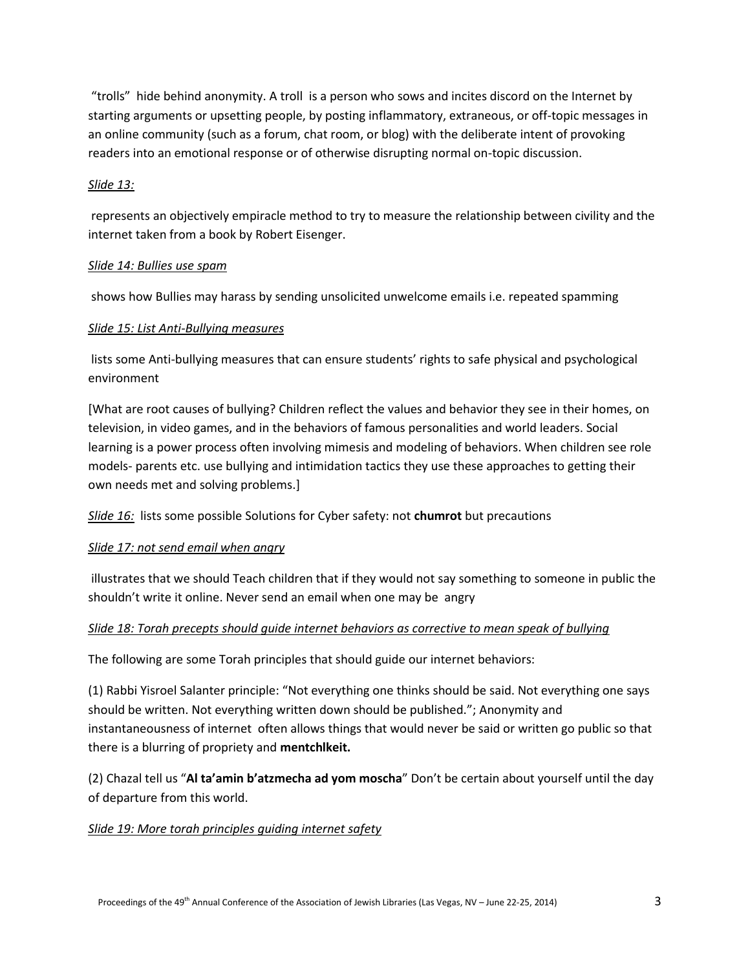"trolls" hide behind anonymity. A troll is a person who sows and incites discord on the Internet by starting arguments or upsetting people, by posting inflammatory, extraneous, or off-topic messages in an online community (such as a forum, chat room, or blog) with the deliberate intent of provoking readers into an emotional response or of otherwise disrupting normal on-topic discussion.

### *Slide 13:*

represents an objectively empiracle method to try to measure the relationship between civility and the internet taken from a book by Robert Eisenger.

### *Slide 14: Bullies use spam*

shows how Bullies may harass by sending unsolicited unwelcome emails i.e. repeated spamming

### *Slide 15: List Anti-Bullying measures*

lists some Anti-bullying measures that can ensure students' rights to safe physical and psychological environment

[What are root causes of bullying? Children reflect the values and behavior they see in their homes, on television, in video games, and in the behaviors of famous personalities and world leaders. Social learning is a power process often involving mimesis and modeling of behaviors. When children see role models- parents etc. use bullying and intimidation tactics they use these approaches to getting their own needs met and solving problems.]

*Slide 16:* lists some possible Solutions for Cyber safety: not **chumrot** but precautions

### *Slide 17: not send email when angry*

illustrates that we should Teach children that if they would not say something to someone in public the shouldn't write it online. Never send an email when one may be angry

### *Slide 18: Torah precepts should guide internet behaviors as corrective to mean speak of bullying*

The following are some Torah principles that should guide our internet behaviors:

(1) Rabbi Yisroel Salanter principle: "Not everything one thinks should be said. Not everything one says should be written. Not everything written down should be published."; Anonymity and instantaneousness of internet often allows things that would never be said or written go public so that there is a blurring of propriety and **mentchlkeit.**

(2) Chazal tell us "**Al ta'amin b'atzmecha ad yom moscha**" Don't be certain about yourself until the day of departure from this world.

### *Slide 19: More torah principles guiding internet safety*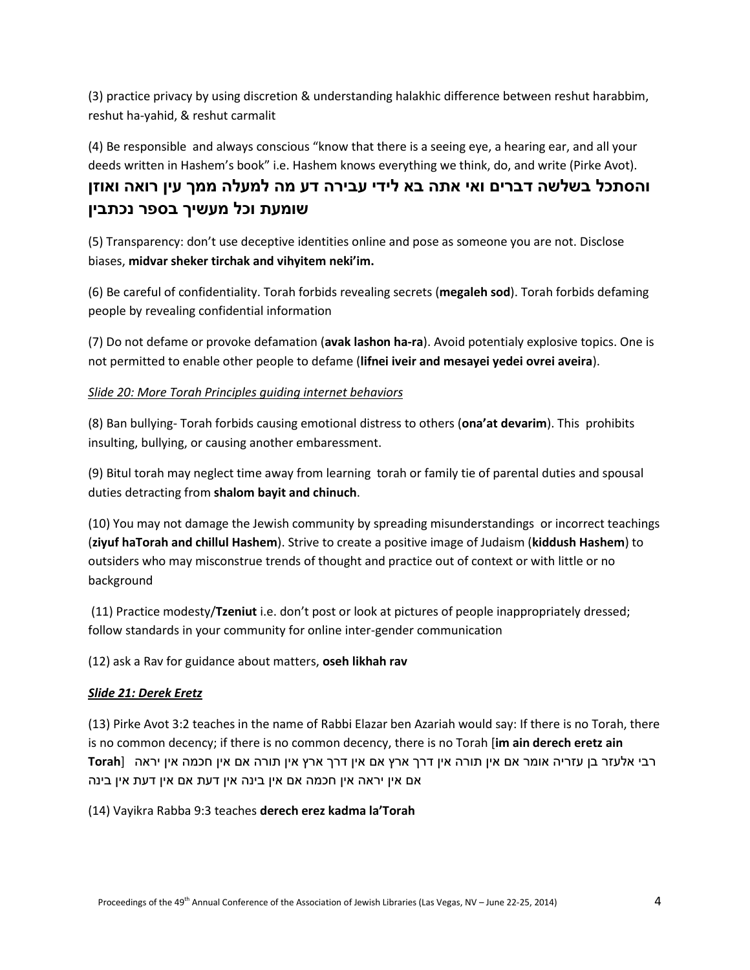(3) practice privacy by using discretion & understanding halakhic difference between reshut harabbim, reshut ha-yahid, & reshut carmalit

(4) Be responsible and always conscious "know that there is a seeing eye, a hearing ear, and all your deeds written in Hashem's book" i.e. Hashem knows everything we think, do, and write (Pirke Avot).

## **והסתכל בשלשה דברים ואי אתה בא לידי עבירה דע מה למעלה ממך עין רואה ואוזן שומעת וכל מעשיך בספר נכתבין**

(5) Transparency: don't use deceptive identities online and pose as someone you are not. Disclose biases, **midvar sheker tirchak and vihyitem neki'im.**

(6) Be careful of confidentiality. Torah forbids revealing secrets (**megaleh sod**). Torah forbids defaming people by revealing confidential information

(7) Do not defame or provoke defamation (**avak lashon ha-ra**). Avoid potentialy explosive topics. One is not permitted to enable other people to defame (**lifnei iveir and mesayei yedei ovrei aveira**).

### *Slide 20: More Torah Principles guiding internet behaviors*

(8) Ban bullying- Torah forbids causing emotional distress to others (**ona'at devarim**). This prohibits insulting, bullying, or causing another embaressment.

(9) Bitul torah may neglect time away from learning torah or family tie of parental duties and spousal duties detracting from **shalom bayit and chinuch**.

(10) You may not damage the Jewish community by spreading misunderstandings or incorrect teachings (**ziyuf haTorah and chillul Hashem**). Strive to create a positive image of Judaism (**kiddush Hashem**) to outsiders who may misconstrue trends of thought and practice out of context or with little or no background

(11) Practice modesty/**Tzeniut** i.e. don't post or look at pictures of people inappropriately dressed; follow standards in your community for online inter-gender communication

(12) ask a Rav for guidance about matters, **oseh likhah rav**

### *Slide 21: Derek Eretz*

(13) Pirke Avot 3:2 teaches in the name of Rabbi Elazar ben Azariah would say: If there is no Torah, there is no common decency; if there is no common decency, there is no Torah [**im ain derech eretz ain**  רבי אלעזר בן עזריה אומר אם אין תורה אין דרך ארץ אם אין דרך ארץ אין תורה אם אין חכמה אין יראה [**Torah** אם אין יראה אין חכמה אם אין בינה אין דעת אם אין דעת אין בינה

(14) Vayikra Rabba 9:3 teaches **derech erez kadma la'Torah**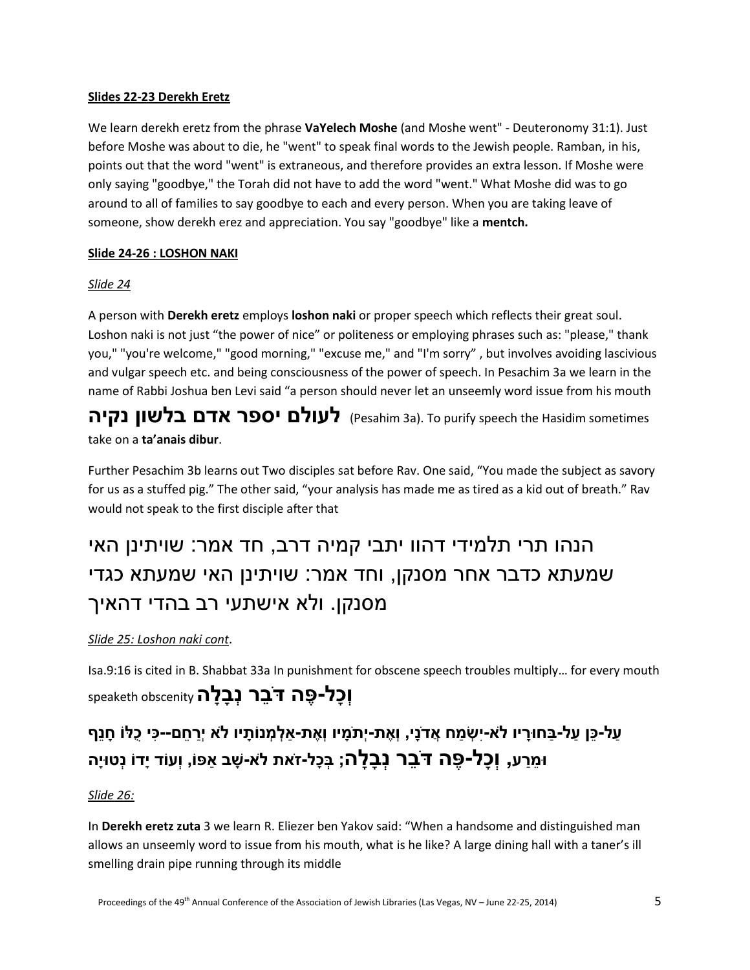### **Slides 22-23 Derekh Eretz**

We learn derekh eretz from the phrase **VaYelech Moshe** (and Moshe went" - Deuteronomy 31:1). Just before Moshe was about to die, he "went" to speak final words to the Jewish people. Ramban, in his, points out that the word "went" is extraneous, and therefore provides an extra lesson. If Moshe were only saying "goodbye," the Torah did not have to add the word "went." What Moshe did was to go around to all of families to say goodbye to each and every person. When you are taking leave of someone, show derekh erez and appreciation. You say "goodbye" like a **mentch.** 

### **Slide 24-26 : LOSHON NAKI**

### *Slide 24*

A person with **Derekh eretz** employs **loshon naki** or proper speech which reflects their great soul. Loshon naki is not just "the power of nice" or politeness or employing phrases such as: "please," thank you," "you're welcome," "good morning," "excuse me," and "I'm sorry" , but involves avoiding lascivious and vulgar speech etc. and being consciousness of the power of speech. In Pesachim 3a we learn in the name of Rabbi Joshua ben Levi said "a person should never let an unseemly word issue from his mouth

**לעולם יספר אדם בלשון נקיה** (Pesahim 3a). To purify speech the Hasidim sometimes take on a **ta'anais dibur**.

Further Pesachim 3b learns out Two disciples sat before Rav. One said, "You made the subject as savory for us as a stuffed pig." The other said, "your analysis has made me as tired as a kid out of breath." Rav would not speak to the first disciple after that

# הנהו תרי תלמידי דהוו יתבי קמיה דרב, חד אמר: שויתינן האי שמעתא כדבר אחר מסנקן, וחד אמר: שויתינן האי שמעתא כגדי מסנקן. ולא אישתעי רב בהדי דהאיך

### *Slide 25: Loshon naki cont*.

Isa.9:16 is cited in B. Shabbat 33a In punishment for obscene speech troubles multiply… for every mouth **וְ ָכל- ֶּפה דֵֹבר ְנ ָב ָלה**obscenity speaketh

## עַל-כֵּן עַל-בַּחוּרַיו לֹא-יִשְׂמַח אֲדֹנֵי, וְאֶת-יִתֹמַיו וְאֶת-אלְמְנוֹתַיו לֹא יְרַחֱם--כִּי כָלּוֹ חַנֵּף **ּו ֵמַרע, וְ ָכל- ֶּפה דֵֹבר ְנ ָב ָלה; ְב ָכל-ז ֹאת ֹלא-שָ ב ַאפֹו, וְעֹוד יָדֹו נְטּויָה**

### *Slide 26:*

In **Derekh eretz zuta** 3 we learn R. Eliezer ben Yakov said: "When a handsome and distinguished man allows an unseemly word to issue from his mouth, what is he like? A large dining hall with a taner's ill smelling drain pipe running through its middle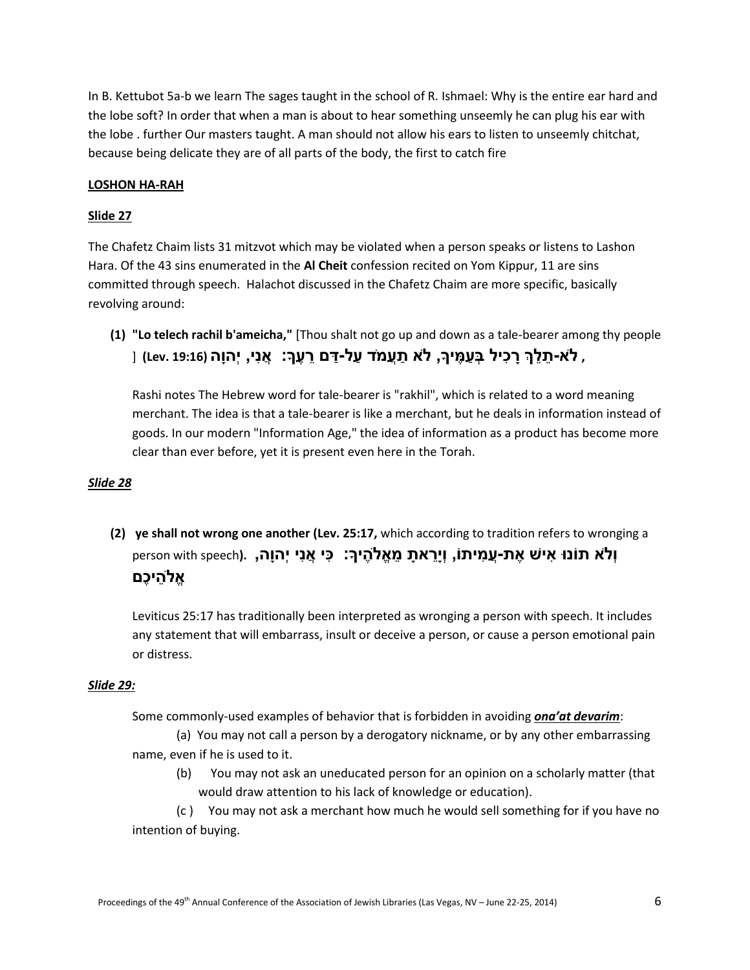In B. Kettubot 5a-b we learn The sages taught in the school of R. Ishmael: Why is the entire ear hard and the lobe soft? In order that when a man is about to hear something unseemly he can plug his ear with the lobe . further Our masters taught. A man should not allow his ears to listen to unseemly chitchat, because being delicate they are of all parts of the body, the first to catch fire

### **LOSHON HA-RAH**

### **Slide 27**

The Chafetz Chaim lists 31 mitzvot which may be violated when a person speaks or listens to Lashon Hara. Of the 43 sins enumerated in the **Al Cheit** confession recited on Yom Kippur, 11 are sins committed through speech. Halachot discussed in the Chafetz Chaim are more specific, basically revolving around:

**(1) "Lo telech rachil b'ameicha,"** [Thou shalt not go up and down as a tale-bearer among thy people  **, ֹלא- ֵתֵלְך ָר ִּכיל ְב ַע ֶּמיָך, ֹלא ַתֲעמֹד ַעלַ-דם ֵר ֶּעָך: ֲא ִּני, יְהוָה (19:16 .Lev**] **(**

Rashi notes The Hebrew word for tale-bearer is "rakhil", which is related to a word meaning merchant. The idea is that a tale-bearer is like a merchant, but he deals in information instead of goods. In our modern "Information Age," the idea of information as a product has become more clear than ever before, yet it is present even here in the Torah.

### *Slide 28*

**(2) ye shall not wrong one another (Lev. 25:17,** which according to tradition refers to wronging a **וְֹלא תֹונּו ִּאיש ֶּאתֲ-ע ִּמיתֹו, וְיֵָרא ָת ֵמ ֱאֹל ֶּהיָך: ִּּכי ֲא ִּני יְהוָה, .(**speech with person **ֱאֹל ֵהי ֶּכם**

Leviticus 25:17 has traditionally been interpreted as wronging a person with speech. It includes any statement that will embarrass, insult or deceive a person, or cause a person emotional pain or distress.

#### *Slide 29:*

Some commonly-used examples of behavior that is forbidden in avoiding *ona'at devarim*:

 (a) You may not call a person by a derogatory nickname, or by any other embarrassing name, even if he is used to it.

(b) You may not ask an uneducated person for an opinion on a scholarly matter (that would draw attention to his lack of knowledge or education).

(c ) You may not ask a merchant how much he would sell something for if you have no intention of buying.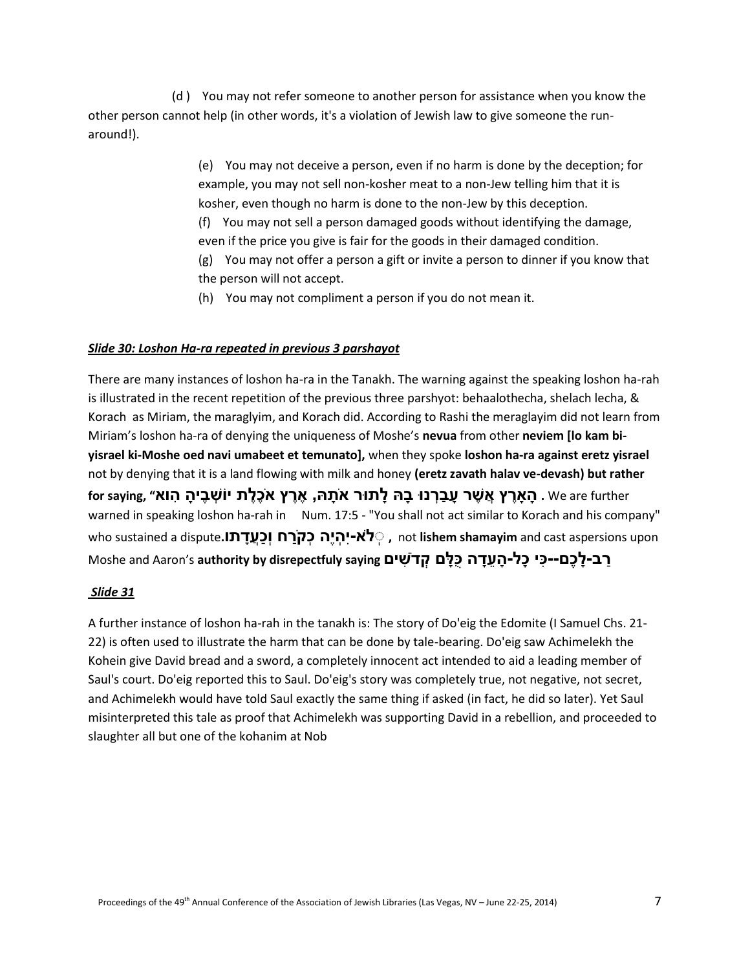(d ) You may not refer someone to another person for assistance when you know the other person cannot help (in other words, it's a violation of Jewish law to give someone the runaround!).

> (e) You may not deceive a person, even if no harm is done by the deception; for example, you may not sell non-kosher meat to a non-Jew telling him that it is kosher, even though no harm is done to the non-Jew by this deception. (f) You may not sell a person damaged goods without identifying the damage, even if the price you give is fair for the goods in their damaged condition. (g) You may not offer a person a gift or invite a person to dinner if you know that the person will not accept.

(h) You may not compliment a person if you do not mean it.

### *Slide 30: Loshon Ha-ra repeated in previous 3 parshayot*

There are many instances of loshon ha-ra in the Tanakh. The warning against the speaking loshon ha-rah is illustrated in the recent repetition of the previous three parshyot: behaalothecha, shelach lecha, & Korach as Miriam, the maraglyim, and Korach did. According to Rashi the meraglayim did not learn from Miriam's loshon ha-ra of denying the uniqueness of Moshe's **nevua** from other **neviem [lo kam biyisrael ki-Moshe oed navi umabeet et temunato],** when they spoke **loshon ha-ra against eretz yisrael**  not by denying that it is a land flowing with milk and honey **(eretz zavath halav ve-devash) but rather**  we are further . הַאֲרֵץ אֲשֵׁר עַבַרְנוּ בַהּ לַתוּר אֹתָהּ, אֶרֵץ אֹכֵלֵת יוֹשְׁבֵיהַ הְוא״. We are further warned in speaking loshon ha-rah in Num. 17:5 - "You shall not act similar to Korach and his company" upon aspersions cast and **shamayim lishem** not **, ְְֹלא-יִּ ְהיֶּה ְכקַֹרח וְ ַכֲעָדת ֹו.**dispute a sustained who **ַרבָ-ל ֶּכם-- ִּּכי כָל- ָה ֵעָדה ֻּכ ָּלם ְקדֹ ִּשים saying disrepectfuly by authority** s'Aaron and Moshe

### *Slide 31*

A further instance of loshon ha-rah in the tanakh is: The story of Do'eig the Edomite (I Samuel Chs. 21- 22) is often used to illustrate the harm that can be done by tale-bearing. Do'eig saw Achimelekh the Kohein give David bread and a sword, a completely innocent act intended to aid a leading member of Saul's court. Do'eig reported this to Saul. Do'eig's story was completely true, not negative, not secret, and Achimelekh would have told Saul exactly the same thing if asked (in fact, he did so later). Yet Saul misinterpreted this tale as proof that Achimelekh was supporting David in a rebellion, and proceeded to slaughter all but one of the kohanim at Nob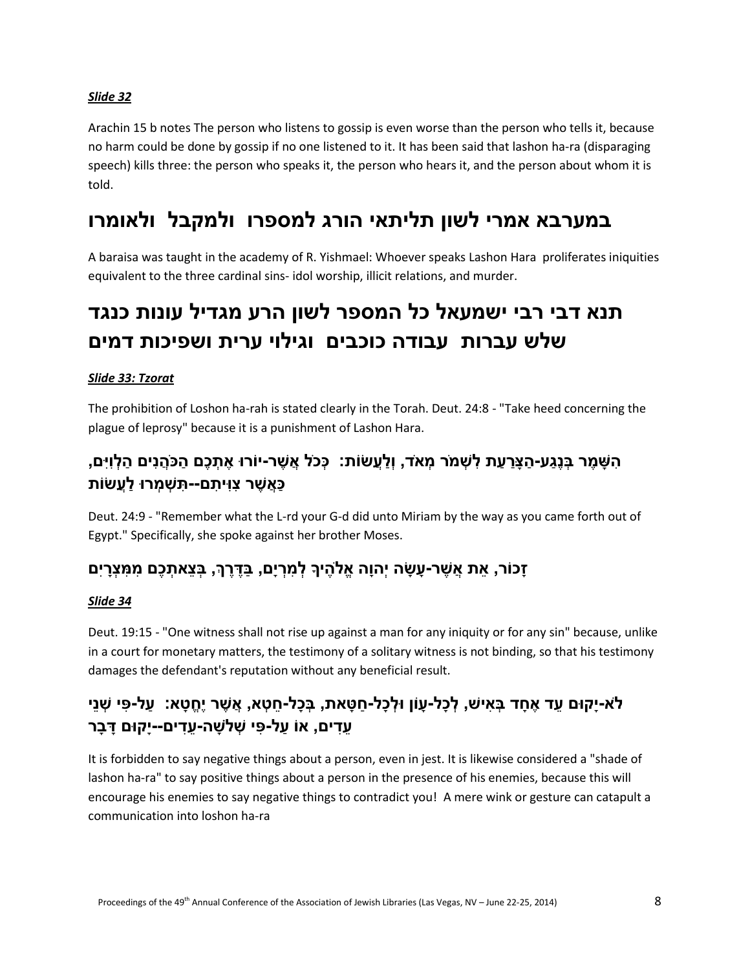### *Slide 32*

Arachin 15 b notes The person who listens to gossip is even worse than the person who tells it, because no harm could be done by gossip if no one listened to it. It has been said that lashon ha-ra (disparaging speech) kills three: the person who speaks it, the person who hears it, and the person about whom it is told.

## **במערבא אמרי לשון תליתאי הורג למספרו ולמקבל ולאומרו**

A baraisa was taught in the academy of R. Yishmael: Whoever speaks Lashon Hara proliferates iniquities equivalent to the three cardinal sins- idol worship, illicit relations, and murder.

# **תנא דבי רבי ישמעאל כל המספר לשון הרע מגדיל עונות כנגד שלש עברות עבודה כוכבים וגילוי ערית ושפיכות דמים**

### *Slide 33: Tzorat*

The prohibition of Loshon ha-rah is stated clearly in the Torah. Deut. 24:8 - "Take heed concerning the plague of leprosy" because it is a punishment of Lashon Hara.

## הִשָּׁמֶר בְּנֵגַע-הַצַּרַעַת לְשָׁמֹר מִאֹד, וְלַעֲשׂוֹת: ۚ כְּכֹל אֲשֶׁר-יוֹרוּ אֶתְכֶם הַכֹּהֲנִים הַלְוִיִּם, **ַּכ ֲא ֶּשר ִּצ ִּּוי ִּתם-- ִּת ְש ְמרּו ַלֲעשֹות**

Deut. 24:9 - "Remember what the L-rd your G-d did unto Miriam by the way as you came forth out of Egypt." Specifically, she spoke against her brother Moses.

### **זָכֹור, ֵאת ֲא ֶּשר-עָשָ ה יְהוָה ֱאֹל ֶּהיָך ְל ִּמ ְריָם, ַבֶּדֶּרְך, ְב ֵצא ְת ֶּכם ִּמ ִּמ ְצָריִּם**

### *Slide 34*

Deut. 19:15 - "One witness shall not rise up against a man for any iniquity or for any sin" because, unlike in a court for monetary matters, the testimony of a solitary witness is not binding, so that his testimony damages the defendant's reputation without any beneficial result.

## לֹא-יַקוּם עֶד אַחַד בַּאִישׁ, לְכַל-עַוֹן וּלְכַל-חַטָּאת, בַּכַל-חֵטָא, אֲשֶׁר יֵחֱטָא: ۖ עַל-פִּי שָׁנֵי **ֵע ִּדים, אֹו ַעל- ִּפי ְשֹל ָשה- ֵע ִּדים--יָקּום דָ בָר**

It is forbidden to say negative things about a person, even in jest. It is likewise considered a "shade of lashon ha-ra" to say positive things about a person in the presence of his enemies, because this will encourage his enemies to say negative things to contradict you! A mere wink or gesture can catapult a communication into loshon ha-ra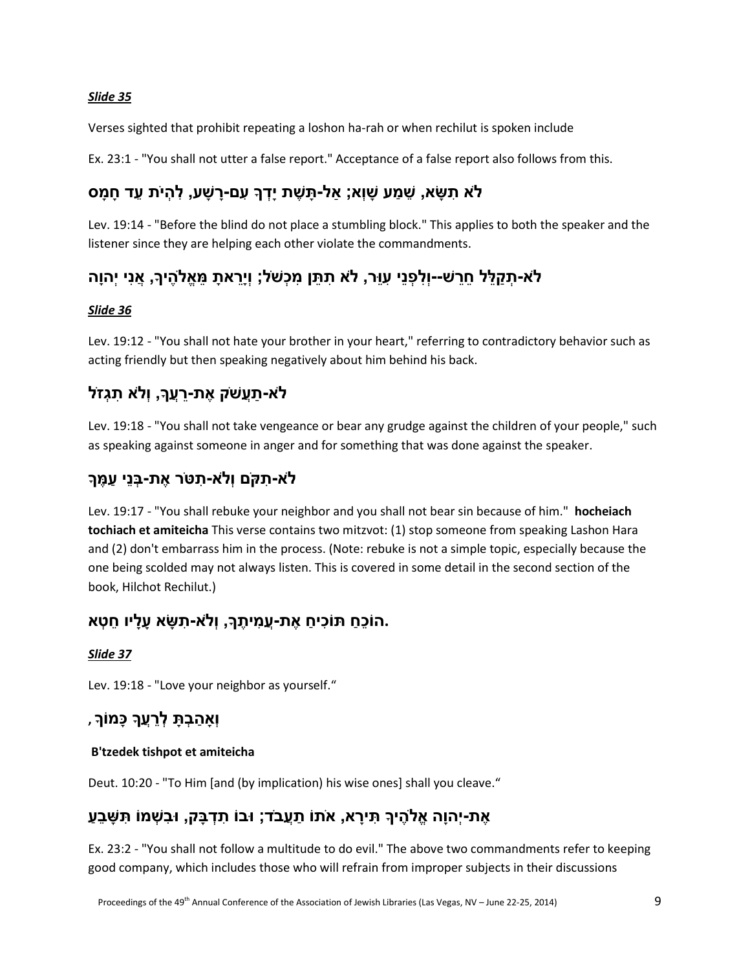### *Slide 35*

Verses sighted that prohibit repeating a loshon ha-rah or when rechilut is spoken include

Ex. 23:1 - "You shall not utter a false report." Acceptance of a false report also follows from this.

## **ֹלא ִּת ָשא, ֵש ַמע ָשוְא; ַאל- ָת ֶּשת יָ ְדָך ִּעם-רָ שָ ע, ִּל ְהיֹת ֵעד חָ מָ ס**

Lev. 19:14 - "Before the blind do not place a stumbling block." This applies to both the speaker and the listener since they are helping each other violate the commandments.

## לֹא-תִקַלֵּל חֶרֶשׁ--וְלִפְנֵי עָוֶר, לֹא תִתֵּן מִכְשֹׁל; וְיֵרֵאתַ מֵאֱלֹהֶיךָ, אֲנִי יִהוַה

### *Slide 36*

Lev. 19:12 - "You shall not hate your brother in your heart," referring to contradictory behavior such as acting friendly but then speaking negatively about him behind his back.

## **ֹלא- ַתֲעשֹק ֶּאתֵ-רֲעָך, וְֹלא ִּת ְגזֹל**

Lev. 19:18 - "You shall not take vengeance or bear any grudge against the children of your people," such as speaking against someone in anger and for something that was done against the speaker.

## **ֹלא- ִּתקֹם וְֹלא- ִּתטֹר ֶּאת- ְב ֵני ַע ֶּמָך**

Lev. 19:17 - "You shall rebuke your neighbor and you shall not bear sin because of him." **hocheiach tochiach et amiteicha** This verse contains two mitzvot: (1) stop someone from speaking Lashon Hara and (2) don't embarrass him in the process. (Note: rebuke is not a simple topic, especially because the one being scolded may not always listen. This is covered in some detail in the second section of the book, Hilchot Rechilut.)

## **.הֹו ֵכ ַח תֹו ִּכי ַח ֶּאתֲ-ע ִּמי ֶּתָך, וְֹלא- ִּת ָשא עָלָיו ֵח ְטא**

### *Slide 37*

Lev. 19:18 - "Love your neighbor as yourself."

### **וְָא ַה ְב ָת ְלֵרֲעָך ּכָמֹוָך ,**

### **B'tzedek tishpot et amiteicha**

Deut. 10:20 - "To Him [and (by implication) his wise ones] shall you cleave."

### **ֶּאת-יְהוָה ֱאֹל ֶּהיָך ִּתיָרא, א ֹתֹו ַתֲעבֹד; ּובֹו ִּת ְד ָבק, ּו ִּב ְשמֹו ִּת ָש ֵב ַע**

Ex. 23:2 - "You shall not follow a multitude to do evil." The above two commandments refer to keeping good company, which includes those who will refrain from improper subjects in their discussions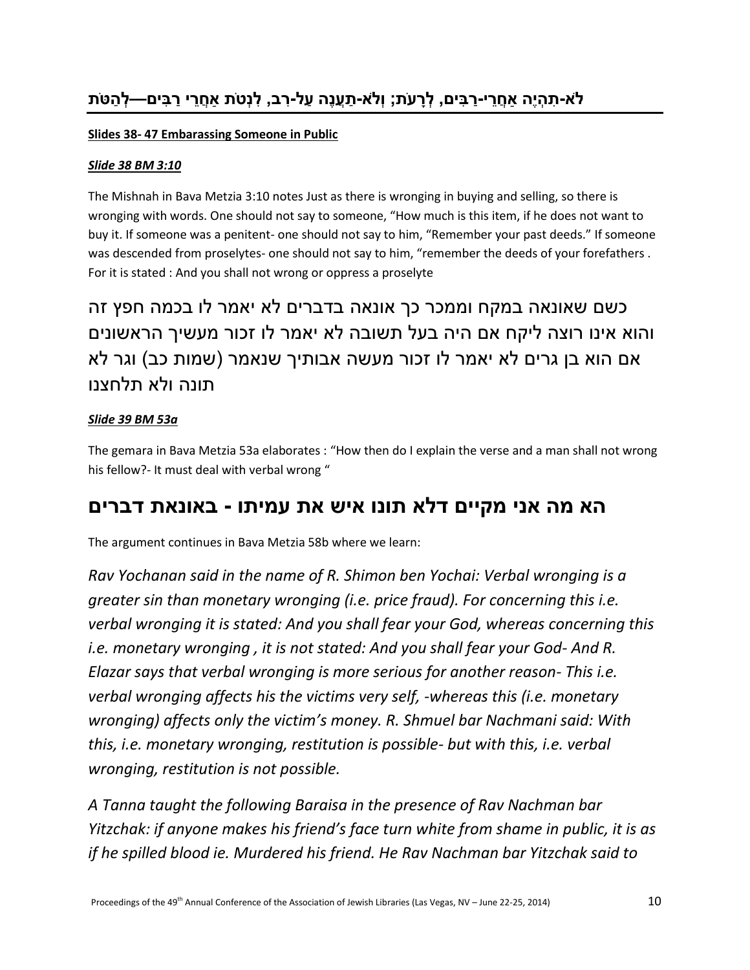### **Slides 38- 47 Embarassing Someone in Public**

### *Slide 38 BM 3:10*

The Mishnah in Bava Metzia 3:10 notes Just as there is wronging in buying and selling, so there is wronging with words. One should not say to someone, "How much is this item, if he does not want to buy it. If someone was a penitent- one should not say to him, "Remember your past deeds." If someone was descended from proselytes- one should not say to him, "remember the deeds of your forefathers . For it is stated : And you shall not wrong or oppress a proselyte

כשם שאונאה במקח וממכר כך אונאה בדברים לא יאמר לו בכמה חפץ זה והוא אינו רוצה ליקח אם היה בעל תשובה לא יאמר לו זכור מעשיך הראשונים אם הוא בן גרים לא יאמר לו זכור מעשה אבותיך שנאמר (שמות כב) וגר לא תונה ולא תלחצנו

### *Slide 39 BM 53a*

The gemara in Bava Metzia 53a elaborates : "How then do I explain the verse and a man shall not wrong his fellow?- It must deal with verbal wrong "

## **הא מה אני מקיים דלא תונו איש את עמיתו - באונאת דברים**

The argument continues in Bava Metzia 58b where we learn:

*Rav Yochanan said in the name of R. Shimon ben Yochai: Verbal wronging is a greater sin than monetary wronging (i.e. price fraud). For concerning this i.e. verbal wronging it is stated: And you shall fear your God, whereas concerning this i.e. monetary wronging , it is not stated: And you shall fear your God- And R. Elazar says that verbal wronging is more serious for another reason- This i.e. verbal wronging affects his the victims very self, -whereas this (i.e. monetary wronging) affects only the victim's money. R. Shmuel bar Nachmani said: With this, i.e. monetary wronging, restitution is possible- but with this, i.e. verbal wronging, restitution is not possible.*

*A Tanna taught the following Baraisa in the presence of Rav Nachman bar Yitzchak: if anyone makes his friend's face turn white from shame in public, it is as if he spilled blood ie. Murdered his friend. He Rav Nachman bar Yitzchak said to*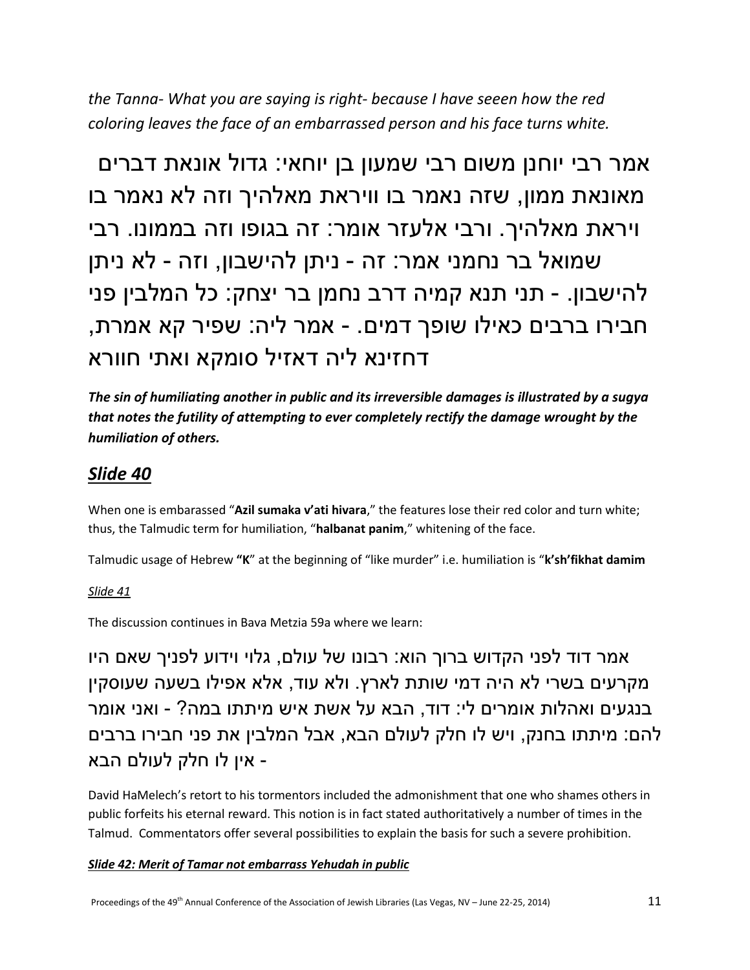*the Tanna- What you are saying is right- because I have seeen how the red coloring leaves the face of an embarrassed person and his face turns white.*

אמר רבי יוחנן משום רבי שמעון בן יוחאי: גדול אונאת דברים מאונאת ממון, שזה נאמר בו וויראת מאלהיך וזה לא נאמר בו ויראת מאלהיך. ורבי אלעזר אומר: זה בגופו וזה בממונו. רבי שמואל בר נחמני אמר: זה - ניתן להישבון, וזה - לא ניתן להישבון. - תני תנא קמיה דרב נחמן בר יצחק: כל המלבין פני חבירו ברבים כאילו שופך דמים. - אמר ליה: שפיר קא אמרת, דחזינא ליה דאזיל סומקא ואתי חוורא

*The sin of humiliating another in public and its irreversible damages is illustrated by a sugya that notes the futility of attempting to ever completely rectify the damage wrought by the humiliation of others.*

## *Slide 40*

When one is embarassed "**Azil sumaka v'ati hivara**," the features lose their red color and turn white; thus, the Talmudic term for humiliation, "**halbanat panim**," whitening of the face.

Talmudic usage of Hebrew **"K**" at the beginning of "like murder" i.e. humiliation is "**k'sh'fikhat damim**

### *Slide 41*

The discussion continues in Bava Metzia 59a where we learn:

אמר דוד לפני הקדוש ברוך הוא: רבונו של עולם, גלוי וידוע לפניך שאם היו מקרעים בשרי לא היה דמי שותת לארץ. ולא עוד, אלא אפילו בשעה שעוסקין בנגעים ואהלות אומרים לי: דוד, הבא על אשת איש מיתתו במה? - ואני אומר להם: מיתתו בחנק, ויש לו חלק לעולם הבא, אבל המלבין את פני חבירו ברבים - אין לו חלק לעולם הבא

David HaMelech's retort to his tormentors included the admonishment that one who shames others in public forfeits his eternal reward. This notion is in fact stated authoritatively a number of times in the Talmud. Commentators offer several possibilities to explain the basis for such a severe prohibition.

### *Slide 42: Merit of Tamar not embarrass Yehudah in public*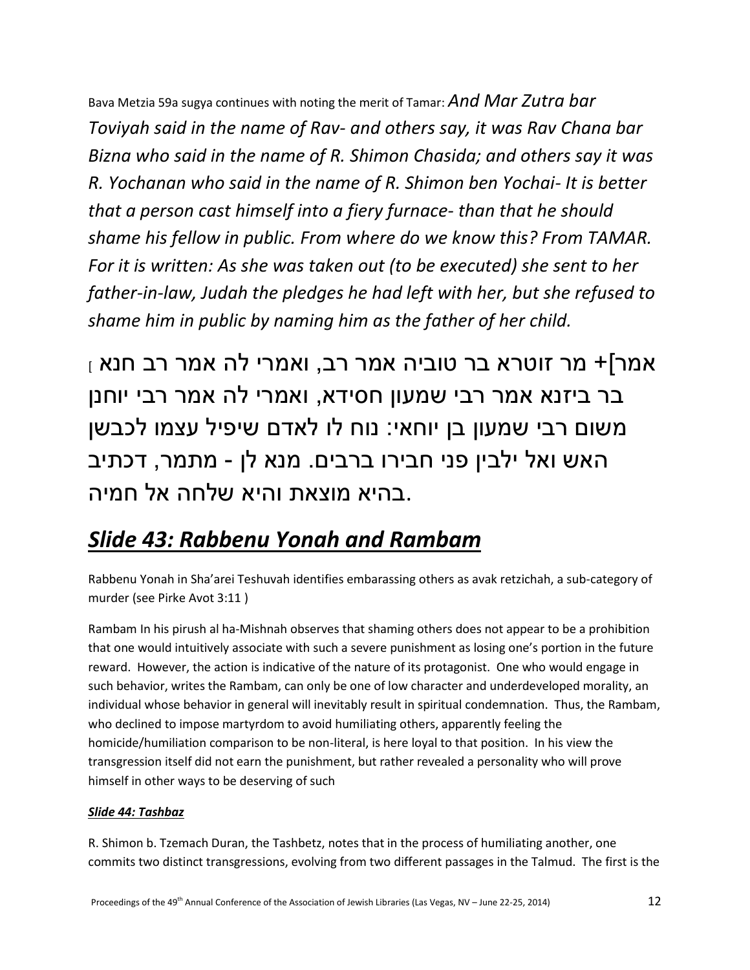Bava Metzia 59a sugya continues with noting the merit of Tamar: *And Mar Zutra bar Toviyah said in the name of Rav- and others say, it was Rav Chana bar Bizna who said in the name of R. Shimon Chasida; and others say it was R. Yochanan who said in the name of R. Shimon ben Yochai- It is better that a person cast himself into a fiery furnace- than that he should shame his fellow in public. From where do we know this? From TAMAR. For it is written: As she was taken out (to be executed) she sent to her father-in-law, Judah the pledges he had left with her, but she refused to shame him in public by naming him as the father of her child.* 

 $_1$  אמר]+ מר זוטרא בר טוביה אמר רב, ואמרי לה אמר רב חנא בר ביזנא אמר רבי שמעון חסידא, ואמרי לה אמר רבי יוחנן משום רבי שמעון בן יוחאי: נוח לו לאדם שיפיל עצמו לכבשן האש ואל ילבין פני חבירו ברבים. מנא לן - מתמר, דכתיב .בהיא מוצאת והיא שלחה אל חמיה

# *Slide 43: Rabbenu Yonah and Rambam*

Rabbenu Yonah in Sha'arei Teshuvah identifies embarassing others as avak retzichah, a sub-category of murder (see Pirke Avot 3:11 )

Rambam In his pirush al ha-Mishnah observes that shaming others does not appear to be a prohibition that one would intuitively associate with such a severe punishment as losing one's portion in the future reward. However, the action is indicative of the nature of its protagonist. One who would engage in such behavior, writes the Rambam, can only be one of low character and underdeveloped morality, an individual whose behavior in general will inevitably result in spiritual condemnation. Thus, the Rambam, who declined to impose martyrdom to avoid humiliating others, apparently feeling the homicide/humiliation comparison to be non-literal, is here loyal to that position. In his view the transgression itself did not earn the punishment, but rather revealed a personality who will prove himself in other ways to be deserving of such

### *Slide 44: Tashbaz*

R. Shimon b. Tzemach Duran, the Tashbetz, notes that in the process of humiliating another, one commits two distinct transgressions, evolving from two different passages in the Talmud. The first is the